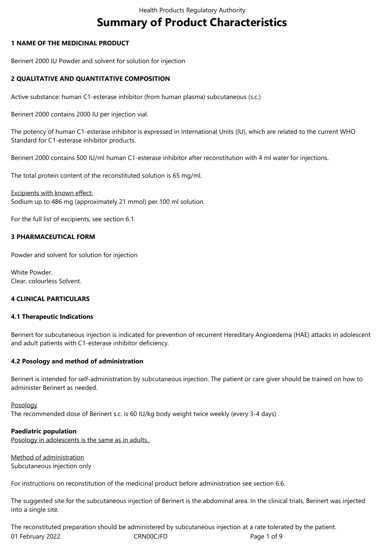# **Summary of Product Characteristics**

## **1 NAME OF THE MEDICINAL PRODUCT**

Berinert 2000 IU Powder and solvent for solution for injection

## **2 QUALITATIVE AND QUANTITATIVE COMPOSITION**

Active substance: human C1-esterase inhibitor (from human plasma) subcutaneous (s.c.)

Berinert 2000 contains 2000 IU per injection vial.

The potency of human C1-esterase inhibitor is expressed in International Units (IU), which are related to the current WHO Standard for C1-esterase inhibitor products.

Berinert 2000 contains 500 IU/ml human C1-esterase inhibitor after reconstitution with 4 ml water for injections.

The total protein content of the reconstituted solution is 65 mg/ml.

Excipients with known effect: Sodium up to 486 mg (approximately 21 mmol) per 100 ml solution.

For the full list of excipients, see section 6.1.

## **3 PHARMACEUTICAL FORM**

Powder and solvent for solution for injection

White Powder. Clear, colourless Solvent.

#### **4 CLINICAL PARTICULARS**

#### **4.1 Therapeutic Indications**

Berinert for subcutaneous injection is indicated for prevention of recurrent Hereditary Angioedema (HAE) attacks in adolescent and adult patients with C1-esterase inhibitor deficiency.

## **4.2 Posology and method of administration**

Berinert is intended for self-administration by subcutaneous injection. The patient or care giver should be trained on how to administer Berinert as needed.

#### Posology

The recommended dose of Berinert s.c. is 60 IU/kg body weight twice weekly (every 3-4 days)

#### **Paediatric population**

Posology in adolescents is the same as in adults.

Method of administration Subcutaneous injection only

For instructions on reconstitution of the medicinal product before administration see section 6.6.

The suggested site for the subcutaneous injection of Berinert is the abdominal area. In the clinical trials, Berinert was injected into a single site.

01 February 2022 **CRNOOCJFD** CRNOOCJFD Page 1 of 9 The reconstituted preparation should be administered by subcutaneous injection at a rate tolerated by the patient.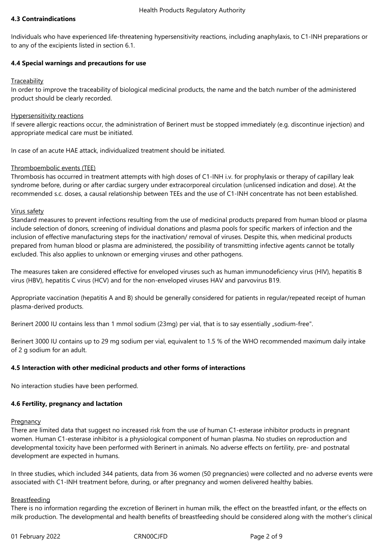## **4.3 Contraindications**

Individuals who have experienced life-threatening hypersensitivity reactions, including anaphylaxis, to C1-INH preparations or to any of the excipients listed in section 6.1.

#### **4.4 Special warnings and precautions for use**

#### **Traceability**

In order to improve the traceability of biological medicinal products, the name and the batch number of the administered product should be clearly recorded.

#### Hypersensitivity reactions

If severe allergic reactions occur, the administration of Berinert must be stopped immediately (e.g. discontinue injection) and appropriate medical care must be initiated.

In case of an acute HAE attack, individualized treatment should be initiated.

## Thromboembolic events (TEE)

Thrombosis has occurred in treatment attempts with high doses of C1-INH i.v. for prophylaxis or therapy of capillary leak syndrome before, during or after cardiac surgery under extracorporeal circulation (unlicensed indication and dose). At the recommended s.c. doses, a causal relationship between TEEs and the use of C1-INH concentrate has not been established.

#### Virus safety

Standard measures to prevent infections resulting from the use of medicinal products prepared from human blood or plasma include selection of donors, screening of individual donations and plasma pools for specific markers of infection and the inclusion of effective manufacturing steps for the inactivation/ removal of viruses. Despite this, when medicinal products prepared from human blood or plasma are administered, the possibility of transmitting infective agents cannot be totally excluded. This also applies to unknown or emerging viruses and other pathogens.

The measures taken are considered effective for enveloped viruses such as human immunodeficiency virus (HIV), hepatitis B virus (HBV), hepatitis C virus (HCV) and for the non-enveloped viruses HAV and parvovirus B19.

Appropriate vaccination (hepatitis A and B) should be generally considered for patients in regular/repeated receipt of human plasma-derived products.

Berinert 2000 IU contains less than 1 mmol sodium (23mg) per vial, that is to say essentially "sodium-free".

Berinert 3000 IU contains up to 29 mg sodium per vial, equivalent to 1.5 % of the WHO recommended maximum daily intake of 2 g sodium for an adult.

#### **4.5 Interaction with other medicinal products and other forms of interactions**

No interaction studies have been performed.

#### **4.6 Fertility, pregnancy and lactation**

#### **Pregnancy**

There are limited data that suggest no increased risk from the use of human C1-esterase inhibitor products in pregnant women. Human C1-esterase inhibitor is a physiological component of human plasma. No studies on reproduction and developmental toxicity have been performed with Berinert in animals. No adverse effects on fertility, pre- and postnatal development are expected in humans.

In three studies, which included 344 patients, data from 36 women (50 pregnancies) were collected and no adverse events were associated with C1-INH treatment before, during, or after pregnancy and women delivered healthy babies.

#### Breastfeeding

There is no information regarding the excretion of Berinert in human milk, the effect on the breastfed infant, or the effects on milk production. The developmental and health benefits of breastfeeding should be considered along with the mother's clinical

01 February 2022 CRN00CJFD Page 2 of 9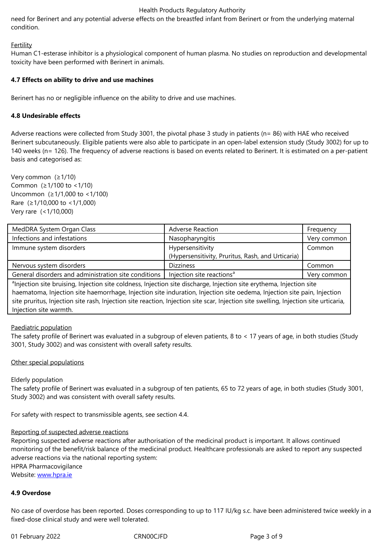## **Fertility**

Human C1-esterase inhibitor is a physiological component of human plasma. No studies on reproduction and developmental toxicity have been performed with Berinert in animals.

## **4.7 Effects on ability to drive and use machines**

Berinert has no or negligible influence on the ability to drive and use machines.

## **4.8 Undesirable effects**

Adverse reactions were collected from Study 3001, the pivotal phase 3 study in patients (n= 86) with HAE who received Berinert subcutaneously. Eligible patients were also able to participate in an open-label extension study (Study 3002) for up to 140 weeks (n= 126). The frequency of adverse reactions is based on events related to Berinert. It is estimated on a per-patient basis and categorised as:

Very common (≥1/10) Common (≥1/100 to <1/10) Uncommon (≥1/1,000 to <1/100) Rare (≥1/10,000 to <1/1,000) Very rare (<1/10,000)

| MedDRA System Organ Class                                                                                                        | <b>Adverse Reaction</b>                           | Frequency   |
|----------------------------------------------------------------------------------------------------------------------------------|---------------------------------------------------|-------------|
| Infections and infestations                                                                                                      | Nasopharyngitis                                   | Very common |
| Immune system disorders                                                                                                          | Hypersensitivity                                  | Common      |
|                                                                                                                                  | (Hypersensitivity, Pruritus, Rash, and Urticaria) |             |
| Nervous system disorders                                                                                                         | <b>Dizziness</b>                                  | Common      |
| General disorders and administration site conditions                                                                             | Injection site reactions <sup>a</sup>             | Very common |
| <sup>a</sup> lnjection site bruising, Injection site coldness, Injection site discharge, Injection site erythema, Injection site |                                                   |             |

haematoma, Injection site haemorrhage, Injection site induration, Injection site oedema, Injection site pain, Injection site pruritus, Injection site rash, Injection site reaction, Injection site scar, Injection site swelling, Injection site urticaria, Injection site warmth.

#### Paediatric population

The safety profile of Berinert was evaluated in a subgroup of eleven patients, 8 to < 17 years of age, in both studies (Study 3001, Study 3002) and was consistent with overall safety results.

#### Other special populations

#### Elderly population

The safety profile of Berinert was evaluated in a subgroup of ten patients, 65 to 72 years of age, in both studies (Study 3001, Study 3002) and was consistent with overall safety results.

For safety with respect to transmissible agents, see section 4.4.

#### Reporting of suspected adverse reactions

Reporting suspected adverse reactions after authorisation of the medicinal product is important. It allows continued monitoring of the benefit/risk balance of the medicinal product. Healthcare professionals are asked to report any suspected adverse reactions via the national reporting system: HPRA Pharmacovigilance

Website: www.hpra.ie

#### **4.9 Overdose**

No case [of overdose h](http://www.hpra.ie/)as been reported. Doses corresponding to up to 117 IU/kg s.c. have been administered twice weekly in a fixed-dose clinical study and were well tolerated.

01 February 2022 **CRNOOCJFD** CRNOOCJFD Page 3 of 9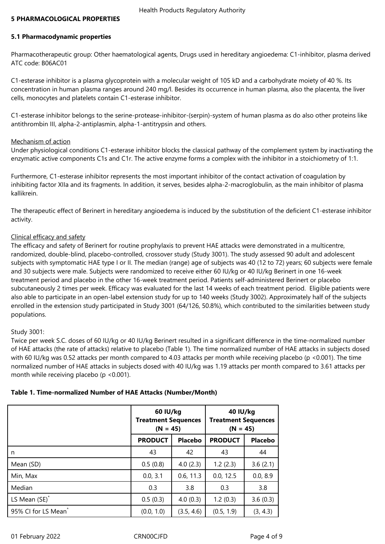#### **5 PHARMACOLOGICAL PROPERTIES**

## **5.1 Pharmacodynamic properties**

Pharmacotherapeutic group: Other haematological agents, Drugs used in hereditary angioedema: C1-inhibitor, plasma derived ATC code: B06AC01

C1-esterase inhibitor is a plasma glycoprotein with a molecular weight of 105 kD and a carbohydrate moiety of 40 %. Its concentration in human plasma ranges around 240 mg/l. Besides its occurrence in human plasma, also the placenta, the liver cells, monocytes and platelets contain C1-esterase inhibitor.

C1-esterase inhibitor belongs to the serine-protease-inhibitor-(serpin)-system of human plasma as do also other proteins like antithrombin III, alpha-2-antiplasmin, alpha-1-antitrypsin and others.

#### Mechanism of action

Under physiological conditions C1-esterase inhibitor blocks the classical pathway of the complement system by inactivating the enzymatic active components C1s and C1r. The active enzyme forms a complex with the inhibitor in a stoichiometry of 1:1.

Furthermore, C1-esterase inhibitor represents the most important inhibitor of the contact activation of coagulation by inhibiting factor XIIa and its fragments. In addition, it serves, besides alpha-2-macroglobulin, as the main inhibitor of plasma kallikrein.

The therapeutic effect of Berinert in hereditary angioedema is induced by the substitution of the deficient C1-esterase inhibitor activity.

#### Clinical efficacy and safety

The efficacy and safety of Berinert for routine prophylaxis to prevent HAE attacks were demonstrated in a multicentre, randomized, double-blind, placebo-controlled, crossover study (Study 3001). The study assessed 90 adult and adolescent subjects with symptomatic HAE type I or II. The median (range) age of subjects was 40 (12 to 72) years; 60 subjects were female and 30 subjects were male. Subjects were randomized to receive either 60 IU/kg or 40 IU/kg Berinert in one 16-week treatment period and placebo in the other 16‑week treatment period. Patients self‑administered Berinert or placebo subcutaneously 2 times per week. Efficacy was evaluated for the last 14 weeks of each treatment period. Eligible patients were also able to participate in an open-label extension study for up to 140 weeks (Study 3002). Approximately half of the subjects enrolled in the extension study participated in Study 3001 (64/126, 50.8%), which contributed to the similarities between study populations.

#### Study 3001:

Twice per week S.C. doses of 60 IU/kg or 40 IU/kg Berinert resulted in a significant difference in the time-normalized number of HAE attacks (the rate of attacks) relative to placebo (Table 1). The time normalized number of HAE attacks in subjects dosed with 60 IU/kg was 0.52 attacks per month compared to 4.03 attacks per month while receiving placebo (p <0.001). The time normalized number of HAE attacks in subjects dosed with 40 IU/kg was 1.19 attacks per month compared to 3.61 attacks per month while receiving placebo (p <0.001).

|                                 | 60 IU/kg<br><b>Treatment Sequences</b><br>$(N = 45)$ |                | 40 IU/kg<br><b>Treatment Sequences</b><br>$(N = 45)$ |                |
|---------------------------------|------------------------------------------------------|----------------|------------------------------------------------------|----------------|
|                                 | <b>PRODUCT</b>                                       | <b>Placebo</b> | <b>PRODUCT</b>                                       | <b>Placebo</b> |
| n                               | 43                                                   | 42             | 43                                                   | 44             |
| Mean (SD)                       | 0.5(0.8)                                             | 4.0(2.3)       | 1.2(2.3)                                             | 3.6(2.1)       |
| Min, Max                        | 0.0, 3.1                                             | 0.6, 11.3      | 0.0, 12.5                                            | 0.0, 8.9       |
| Median                          | 0.3                                                  | 3.8            | 0.3                                                  | 3.8            |
| LS Mean (SE) <sup>*</sup>       | 0.5(0.3)                                             | 4.0(0.3)       | 1.2(0.3)                                             | 3.6(0.3)       |
| 95% CI for LS Mean <sup>*</sup> | (0.0, 1.0)                                           | (3.5, 4.6)     | (0.5, 1.9)                                           | (3, 4.3)       |

#### **Table 1. Time‑normalized Number of HAE Attacks (Number/Month)**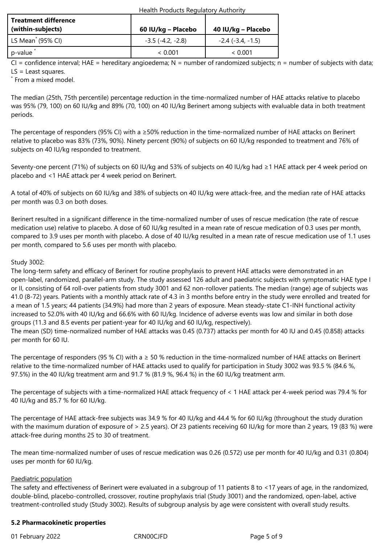| Health Products Regulatory Authority |  |
|--------------------------------------|--|
|--------------------------------------|--|

| <b>Treatment difference</b><br>(within-subjects) | 60 IU/kg – Placebo         | 40 IU/kg – Placebo  |
|--------------------------------------------------|----------------------------|---------------------|
| $\vert$ LS Mean <sup>*</sup> (95% CI)            | $-3.5$ ( $-4.2$ , $-2.8$ ) | $-2.4$ (-3.4, -1.5) |
| p-value                                          | ~< 0.001                   | ~< 0.001            |

 $CI =$  confidence interval; HAE = hereditary angioedema; N = number of randomized subjects; n = number of subjects with data; LS = Least squares.

\* From a mixed model.

The median (25th, 75th percentile) percentage reduction in the time‑normalized number of HAE attacks relative to placebo was 95% (79, 100) on 60 IU/kg and 89% (70, 100) on 40 IU/kg Berinert among subjects with evaluable data in both treatment periods.

The percentage of responders (95% CI) with a ≥50% reduction in the time-normalized number of HAE attacks on Berinert relative to placebo was 83% (73%, 90%). Ninety percent (90%) of subjects on 60 IU/kg responded to treatment and 76% of subjects on 40 IU/kg responded to treatment.

Seventy-one percent (71%) of subjects on 60 IU/kg and 53% of subjects on 40 IU/kg had ≥1 HAE attack per 4 week period on placebo and <1 HAE attack per 4 week period on Berinert.

A total of 40% of subjects on 60 IU/kg and 38% of subjects on 40 IU/kg were attack-free, and the median rate of HAE attacks per month was 0.3 on both doses.

Berinert resulted in a significant difference in the time‑normalized number of uses of rescue medication (the rate of rescue medication use) relative to placebo. A dose of 60 IU/kg resulted in a mean rate of rescue medication of 0.3 uses per month, compared to 3.9 uses per month with placebo. A dose of 40 IU/kg resulted in a mean rate of rescue medication use of 1.1 uses per month, compared to 5.6 uses per month with placebo.

## Study 3002:

The long-term safety and efficacy of Berinert for routine prophylaxis to prevent HAE attacks were demonstrated in an open-label, randomized, parallel-arm study. The study assessed 126 adult and paediatric subjects with symptomatic HAE type I or II, consisting of 64 roll-over patients from study 3001 and 62 non-rollover patients. The median (range) age of subjects was 41.0 (8-72) years. Patients with a monthly attack rate of 4.3 in 3 months before entry in the study were enrolled and treated for a mean of 1.5 years; 44 patients (34.9%) had more than 2 years of exposure. Mean steady-state C1-INH functional activity increased to 52.0% with 40 IU/kg and 66.6% with 60 IU/kg. Incidence of adverse events was low and similar in both dose groups (11.3 and 8.5 events per patient-year for 40 IU/kg and 60 IU/kg, respectively).

The mean (SD) time-normalized number of HAE attacks was 0.45 (0.737) attacks per month for 40 IU and 0.45 (0.858) attacks per month for 60 IU.

The percentage of responders (95 % CI) with a  $\geq$  50 % reduction in the time-normalized number of HAE attacks on Berinert relative to the time-normalized number of HAE attacks used to qualify for participation in Study 3002 was 93.5 % (84.6 %, 97.5%) in the 40 IU/kg treatment arm and 91.7 % (81.9 %, 96.4 %) in the 60 IU/kg treatment arm.

The percentage of subjects with a time-normalized HAE attack frequency of < 1 HAE attack per 4-week period was 79.4 % for 40 IU/kg and 85.7 % for 60 IU/kg.

The percentage of HAE attack-free subjects was 34.9 % for 40 IU/kg and 44.4 % for 60 IU/kg (throughout the study duration with the maximum duration of exposure of > 2.5 years). Of 23 patients receiving 60 IU/kg for more than 2 years, 19 (83 %) were attack-free during months 25 to 30 of treatment.

The mean time-normalized number of uses of rescue medication was 0.26 (0.572) use per month for 40 IU/kg and 0.31 (0.804) uses per month for 60 IU/kg.

## Paediatric population

The safety and effectiveness of Berinert were evaluated in a subgroup of 11 patients 8 to <17 years of age, in the randomized, double-blind, placebo-controlled, crossover, routine prophylaxis trial (Study 3001) and the randomized, open-label, active treatment-controlled study (Study 3002). Results of subgroup analysis by age were consistent with overall study results.

#### **5.2 Pharmacokinetic properties**

01 February 2022 **CRNOOCJFD** CRNOOCJFD Page 5 of 9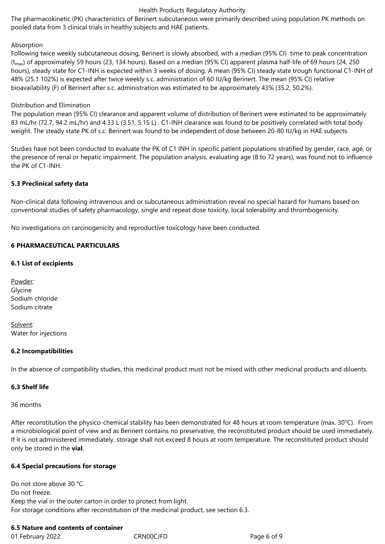#### Health Products Regulatory Authority

The pharmacokinetic (PK) characteristics of Berinert subcutaneous were primarily described using population PK methods on pooled data from 3 clinical trials in healthy subjects and HAE patients.

#### Absorption

Following twice weekly subcutaneous dosing, Berinert is slowly absorbed, with a median (95% CI) time to peak concentration  $(t_{\text{max}})$  of approximately 59 hours (23, 134 hours). Based on a median (95% CI) apparent plasma half-life of 69 hours (24, 250 hours), steady state for C1-INH is expected within 3 weeks of dosing. A mean (95% CI) steady state trough functional C1-INH of 48% (25.1 102%) is expected after twice weekly s.c. administration of 60 IU/kg Berinert. The mean (95% CI) relative bioavailability (F) of Berinert after s.c. administration was estimated to be approximately 43% (35.2, 50.2%).

## Distribution and Elimination

The population mean (95% CI) clearance and apparent volume of distribution of Berinert were estimated to be approximately 83 mL/hr (72.7, 94.2 mL/hr) and 4.33 L (3.51, 5.15 L) . C1-INH clearance was found to be positively correlated with total body weight. The steady state PK of s.c. Berinert was found to be independent of dose between 20-80 IU/kg in HAE subjects.

Studies have not been conducted to evaluate the PK of C1 INH in specific patient populations stratified by gender, race, age, or the presence of renal or hepatic impairment. The population analysis, evaluating age (8 to 72 years), was found not to influence the PK of C1-INH.

## **5.3 Preclinical safety data**

Non-clinical data following intravenous and or subcutaneous administration reveal no special hazard for humans based on conventional studies of safety pharmacology, single and repeat dose toxicity, local tolerability and thrombogenicity.

No investigations on carcinogenicity and reproductive toxicology have been conducted.

## **6 PHARMACEUTICAL PARTICULARS**

## **6.1 List of excipients**

Powder*:* Glycine Sodium chloride Sodium citrate

Solvent*:* Water for injections

#### **6.2 Incompatibilities**

In the absence of compatibility studies, this medicinal product must not be mixed with other medicinal products and diluents.

#### **6.3 Shelf life**

36 months

After reconstitution the physico-chemical stability has been demonstrated for 48 hours at room temperature (max. 30°C). From a microbiological point of view and as Berinert contains no preservative, the reconstituted product should be used immediately. If it is not administered immediately, storage shall not exceed 8 hours at room temperature. The reconstituted product should only be stored in the **vial**.

#### **6.4 Special precautions for storage**

Do not store above 30 °C. Do not freeze. Keep the vial in the outer carton in order to protect from light. For storage conditions after reconstitution of the medicinal product, see section 6.3.

## **6.5 Nature and contents of container**

01 February 2022 **CRNOOCJFD** CRNOOCJFD Page 6 of 9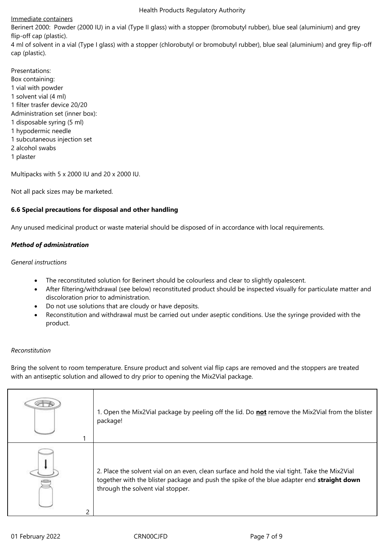#### Health Products Regulatory Authority

## Immediate containers

Berinert 2000: Powder (2000 IU) in a vial (Type II glass) with a stopper (bromobutyl rubber), blue seal (aluminium) and grey flip-off cap (plastic).

4 ml of solvent in a vial (Type I glass) with a stopper (chlorobutyl or bromobutyl rubber), blue seal (aluminium) and grey flip-off cap (plastic).

Presentations: Box containing: 1 vial with powder 1 solvent vial (4 ml) 1 filter trasfer device 20/20 Administration set (inner box): 1 disposable syring (5 ml) 1 hypodermic needle 1 subcutaneous injection set 2 alcohol swabs 1 plaster

Multipacks with 5 x 2000 IU and 20 x 2000 IU.

Not all pack sizes may be marketed.

## **6.6 Special precautions for disposal and other handling**

Any unused medicinal product or waste material should be disposed of in accordance with local requirements.

## *Method of administration*

## *General instructions*

- The reconstituted solution for Berinert should be colourless and clear to slightly opalescent.
- After filtering/withdrawal (see below) reconstituted product should be inspected visually for particulate matter and discoloration prior to administration.
- Do not use solutions that are cloudy or have deposits.
- Reconstitution and withdrawal must be carried out under aseptic conditions. Use the syringe provided with the product.

#### *Reconstitution*

Bring the solvent to room temperature. Ensure product and solvent vial flip caps are removed and the stoppers are treated with an antiseptic solution and allowed to dry prior to opening the Mix2Vial package.

|                          | 1. Open the Mix2Vial package by peeling off the lid. Do not remove the Mix2Vial from the blister<br>package!                                                                                                                      |
|--------------------------|-----------------------------------------------------------------------------------------------------------------------------------------------------------------------------------------------------------------------------------|
| $\overline{\phantom{0}}$ | 2. Place the solvent vial on an even, clean surface and hold the vial tight. Take the Mix2Vial<br>together with the blister package and push the spike of the blue adapter end straight down<br>through the solvent vial stopper. |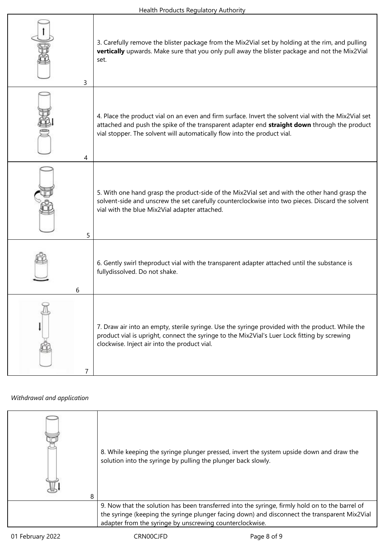٦

| 3 | 3. Carefully remove the blister package from the Mix2Vial set by holding at the rim, and pulling<br>vertically upwards. Make sure that you only pull away the blister package and not the Mix2Vial<br>set.                                                                       |
|---|----------------------------------------------------------------------------------------------------------------------------------------------------------------------------------------------------------------------------------------------------------------------------------|
| 4 | 4. Place the product vial on an even and firm surface. Invert the solvent vial with the Mix2Vial set<br>attached and push the spike of the transparent adapter end straight down through the product<br>vial stopper. The solvent will automatically flow into the product vial. |
| 5 | 5. With one hand grasp the product-side of the Mix2Vial set and with the other hand grasp the<br>solvent-side and unscrew the set carefully counterclockwise into two pieces. Discard the solvent<br>vial with the blue Mix2Vial adapter attached.                               |
| 6 | 6. Gently swirl theproduct vial with the transparent adapter attached until the substance is<br>fullydissolved. Do not shake.                                                                                                                                                    |
| 7 | 7. Draw air into an empty, sterile syringe. Use the syringe provided with the product. While the<br>product vial is upright, connect the syringe to the Mix2Vial's Luer Lock fitting by screwing<br>clockwise. Inject air into the product vial.                                 |

## *Withdrawal and application*

| 8 | 8. While keeping the syringe plunger pressed, invert the system upside down and draw the<br>solution into the syringe by pulling the plunger back slowly.                                                                                                    |
|---|--------------------------------------------------------------------------------------------------------------------------------------------------------------------------------------------------------------------------------------------------------------|
|   | 9. Now that the solution has been transferred into the syringe, firmly hold on to the barrel of<br>the syringe (keeping the syringe plunger facing down) and disconnect the transparent Mix2Vial<br>adapter from the syringe by unscrewing counterclockwise. |